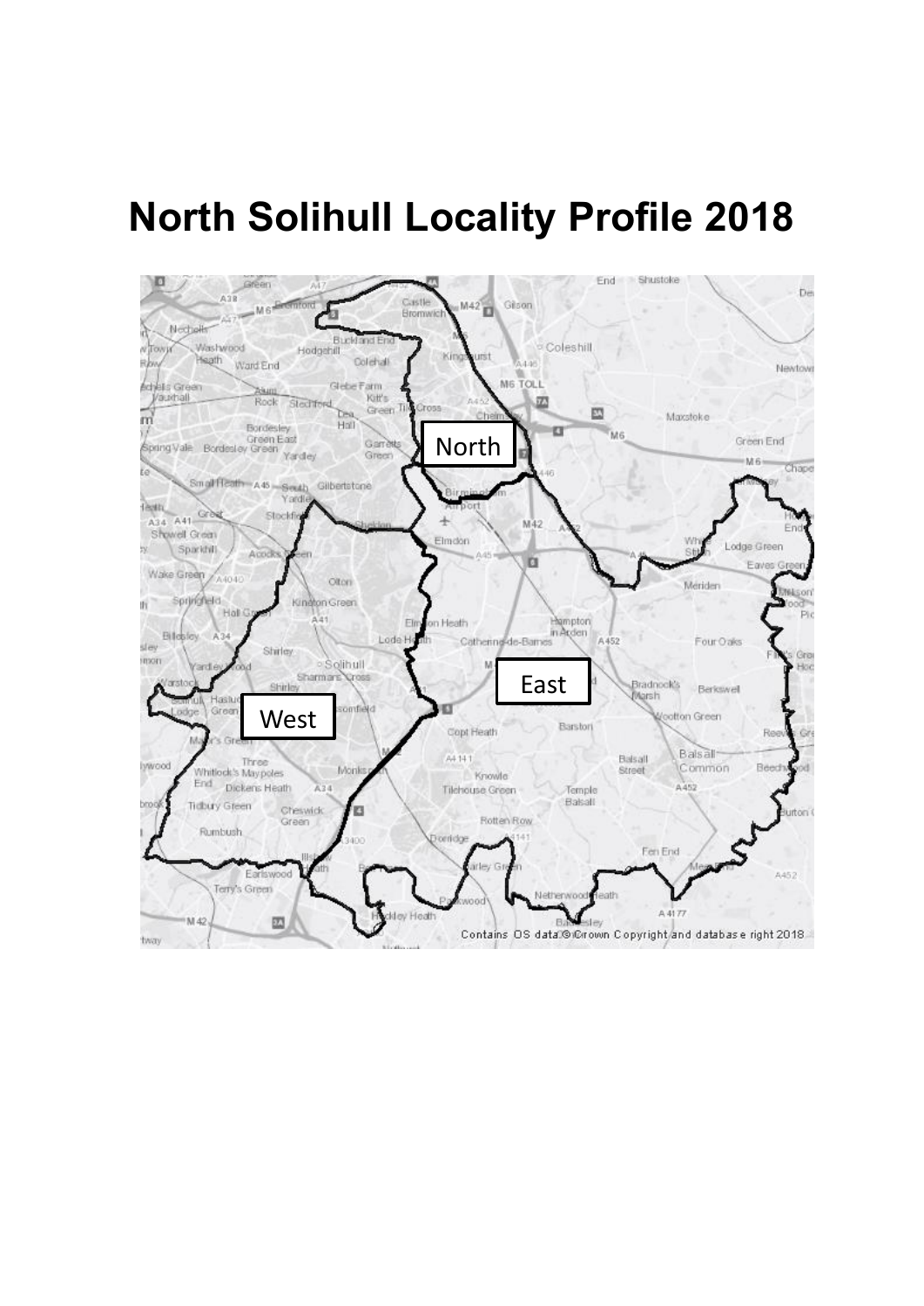# **North Solihull Locality Profile 2018**

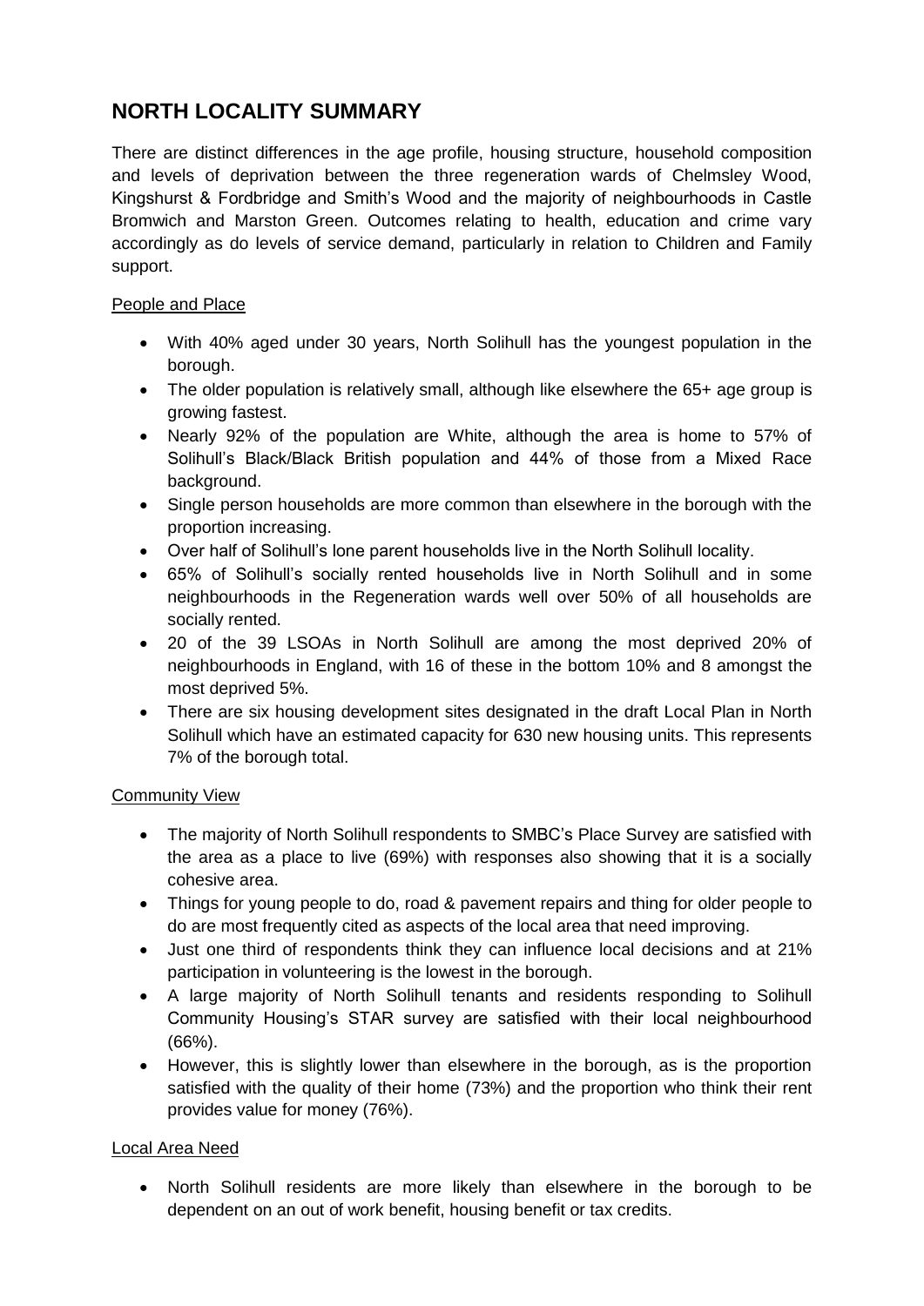## **NORTH LOCALITY SUMMARY**

There are distinct differences in the age profile, housing structure, household composition and levels of deprivation between the three regeneration wards of Chelmsley Wood, Kingshurst & Fordbridge and Smith's Wood and the majority of neighbourhoods in Castle Bromwich and Marston Green. Outcomes relating to health, education and crime vary accordingly as do levels of service demand, particularly in relation to Children and Family support.

#### People and Place

- With 40% aged under 30 years, North Solihull has the youngest population in the borough.
- The older population is relatively small, although like elsewhere the 65+ age group is growing fastest.
- Nearly 92% of the population are White, although the area is home to 57% of Solihull's Black/Black British population and 44% of those from a Mixed Race background.
- Single person households are more common than elsewhere in the borough with the proportion increasing.
- Over half of Solihull's lone parent households live in the North Solihull locality.
- 65% of Solihull's socially rented households live in North Solihull and in some neighbourhoods in the Regeneration wards well over 50% of all households are socially rented.
- 20 of the 39 LSOAs in North Solihull are among the most deprived 20% of neighbourhoods in England, with 16 of these in the bottom 10% and 8 amongst the most deprived 5%.
- There are six housing development sites designated in the draft Local Plan in North Solihull which have an estimated capacity for 630 new housing units. This represents 7% of the borough total.

#### Community View

- The majority of North Solihull respondents to SMBC's Place Survey are satisfied with the area as a place to live (69%) with responses also showing that it is a socially cohesive area.
- Things for young people to do, road & pavement repairs and thing for older people to do are most frequently cited as aspects of the local area that need improving.
- Just one third of respondents think they can influence local decisions and at 21% participation in volunteering is the lowest in the borough.
- A large majority of North Solihull tenants and residents responding to Solihull Community Housing's STAR survey are satisfied with their local neighbourhood (66%).
- However, this is slightly lower than elsewhere in the borough, as is the proportion satisfied with the quality of their home (73%) and the proportion who think their rent provides value for money (76%).

### Local Area Need

 North Solihull residents are more likely than elsewhere in the borough to be dependent on an out of work benefit, housing benefit or tax credits.